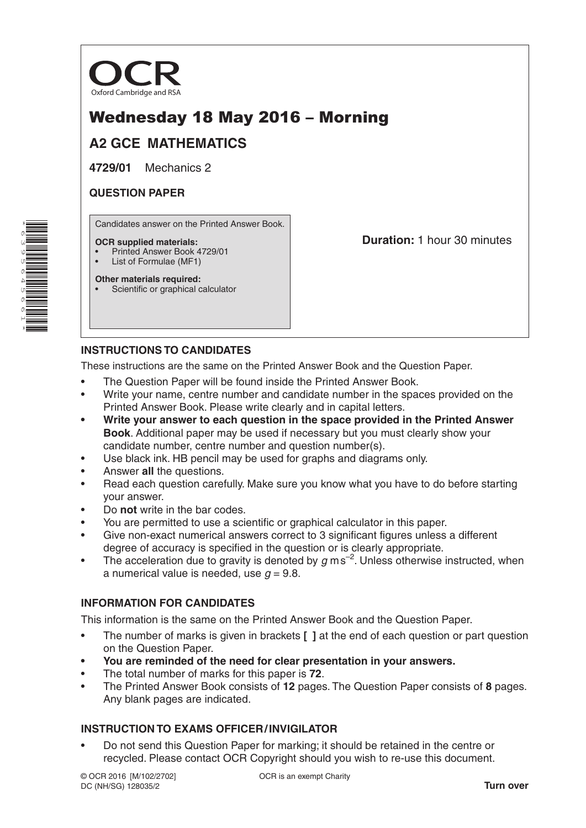

# Wednesday 18 May 2016 – Morning

## **A2 GCE MATHEMATICS**

**4729/01** Mechanics 2

### **QUESTION PAPER**

Candidates answer on the Printed Answer Book.

#### **OCR supplied materials:**

- Printed Answer Book 4729/01
- List of Formulae (MF1)

**Other materials required:** Scientific or graphical calculator **Duration:** 1 hour 30 minutes

### **INSTRUCTIONS TO CANDIDATES**

These instructions are the same on the Printed Answer Book and the Question Paper.

- The Question Paper will be found inside the Printed Answer Book.
- Write your name, centre number and candidate number in the spaces provided on the Printed Answer Book. Please write clearly and in capital letters.
- **• Write your answer to each question in the space provided in the Printed Answer Book**. Additional paper may be used if necessary but you must clearly show your candidate number, centre number and question number(s).
- Use black ink. HB pencil may be used for graphs and diagrams only.
- Answer **all** the questions.
- Read each question carefully. Make sure you know what you have to do before starting your answer.
- Do **not** write in the bar codes.
- You are permitted to use a scientific or graphical calculator in this paper.
- Give non-exact numerical answers correct to 3 significant figures unless a different degree of accuracy is specified in the question or is clearly appropriate.
- The acceleration due to gravity is denoted by *g* ms<sup>-2</sup>. Unless otherwise instructed, when a numerical value is needed, use  $q = 9.8$ .

### **INFORMATION FOR CANDIDATES**

This information is the same on the Printed Answer Book and the Question Paper.

- The number of marks is given in brackets **[ ]** at the end of each question or part question on the Question Paper.
- **• You are reminded of the need for clear presentation in your answers.**
- The total number of marks for this paper is **72**.
- The Printed Answer Book consists of **12** pages. The Question Paper consists of **8** pages. Any blank pages are indicated.

### **INSTRUCTION TO EXAMS OFFICER/INVIGILATOR**

• Do not send this Question Paper for marking; it should be retained in the centre or recycled. Please contact OCR Copyright should you wish to re-use this document.

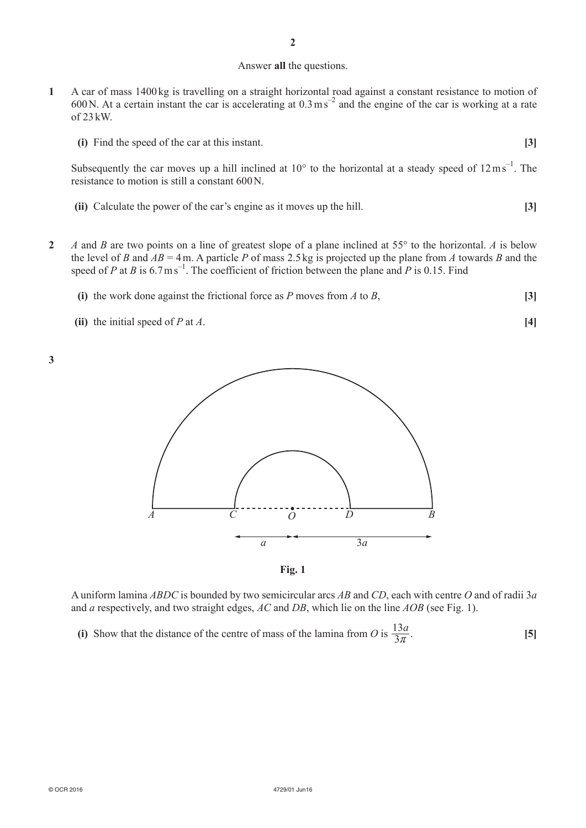#### Answer **all** the questions.

- **1**  A car of mass 1400 kg is travelling on a straight horizontal road against a constant resistance to motion of 600 N. At a certain instant the car is accelerating at  $0.3 \text{ m s}^{-2}$  and the engine of the car is working at a rate of 23 kW.
	- **(i)** Find the speed of the car at this instant. **[3]**

Subsequently the car moves up a hill inclined at  $10^{\circ}$  to the horizontal at a steady speed of  $12 \text{ ms}^{-1}$ . The resistance to motion is still a constant 600N.

- **(ii)** Calculate the power of the car's engine as it moves up the hill. **[3]**
- **2**  *A* and *B* are two points on a line of greatest slope of a plane inclined at 55° to the horizontal. *A* is below the level of *B* and  $AB = 4$  m. A particle *P* of mass 2.5 kg is projected up the plane from *A* towards *B* and the speed of *P* at *B* is 6.7ms<sup>-1</sup>. The coefficient of friction between the plane and *P* is 0.15. Find
	- **(i)** the work done against the frictional force as *P* moves from *A* to *B*, **[3]**
	- **(ii)** the initial speed of *P* at *A*.  $[4]$

**3**





A uniform lamina *ABDC* is bounded by two semicircular arcs *AB* and *CD*, each with centre *O* and of radii 3*a*  and *a* respectively, and two straight edges, *AC* and *DB*, which lie on the line *AOB* (see Fig. 1).

**(i)** Show that the distance of the centre of mass of the lamina from *O* is  $\frac{1}{3}$ 13*a*  $\frac{5a}{\pi}$ . [5]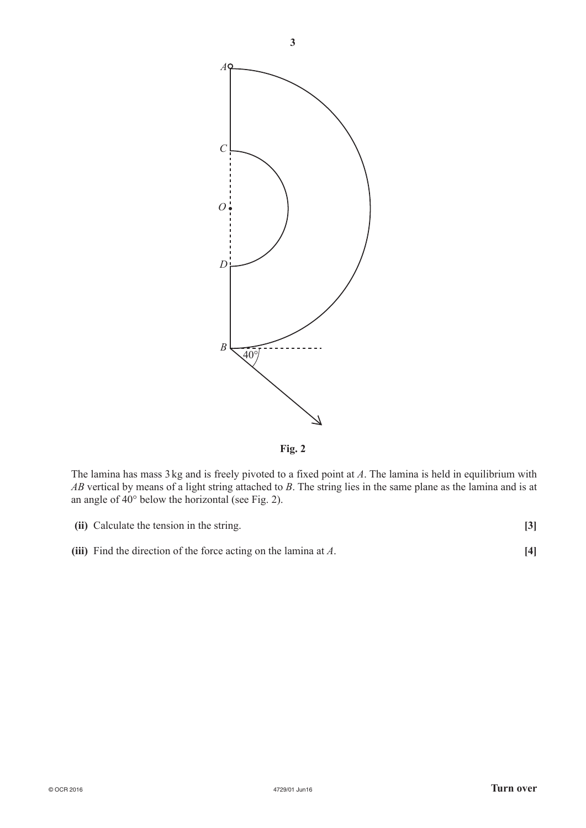



The lamina has mass 3 kg and is freely pivoted to a fixed point at *A*. The lamina is held in equilibrium with *AB* vertical by means of a light string attached to *B*. The string lies in the same plane as the lamina and is at an angle of 40° below the horizontal (see Fig. 2).

| (ii) Calculate the tension in the string. |  |
|-------------------------------------------|--|
|-------------------------------------------|--|

**(iii)** Find the direction of the force acting on the lamina at *A*. [4]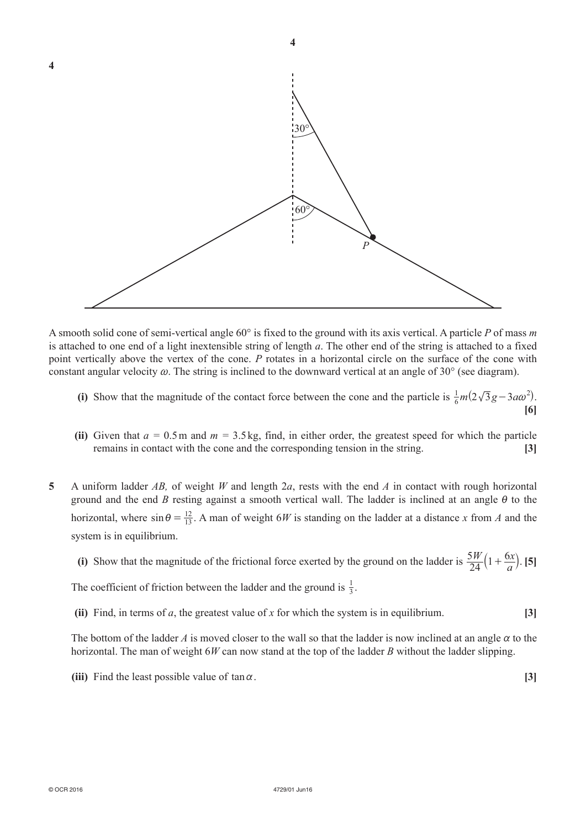

A smooth solid cone of semi-vertical angle 60° is fixed to the ground with its axis vertical. A particle *P* of mass *m* is attached to one end of a light inextensible string of length *a*. The other end of the string is attached to a fixed point vertically above the vertex of the cone. *P* rotates in a horizontal circle on the surface of the cone with constant angular velocity  $\omega$ . The string is inclined to the downward vertical at an angle of 30 $^{\circ}$  (see diagram).

- **(i)** Show that the magnitude of the contact force between the cone and the particle is  $\frac{1}{6}m(2\sqrt{3}g 3a\omega^2)$ . **[6]**
	- **(ii)** Given that  $a = 0.5$ m and  $m = 3.5$  kg, find, in either order, the greatest speed for which the particle remains in contact with the cone and the corresponding tension in the string. **[3]**
- **5**  A uniform ladder *AB,* of weight *W* and length 2*a*, rests with the end *A* in contact with rough horizontal ground and the end *B* resting against a smooth vertical wall. The ladder is inclined at an angle  $\theta$  to the horizontal, where  $\sin \theta = \frac{12}{13}$ . A man of weight 6*W* is standing on the ladder at a distance *x* from *A* and the system is in equilibrium.
- (i) Show that the magnitude of the frictional force exerted by the ground on the ladder is  $\frac{5W}{24}(1+\frac{6}{6})$  $\left(1+\frac{6x}{a}\right)$ . **[5]**

The coefficient of friction between the ladder and the ground is  $\frac{1}{3}$ .

**(ii)** Find, in terms of *a*, the greatest value of *x* for which the system is in equilibrium. **[3]** 

The bottom of the ladder *A* is moved closer to the wall so that the ladder is now inclined at an angle  $\alpha$  to the horizontal. The man of weight 6*W* can now stand at the top of the ladder *B* without the ladder slipping.

**(iii)** Find the least possible value of tan  $\alpha$ . **[3]**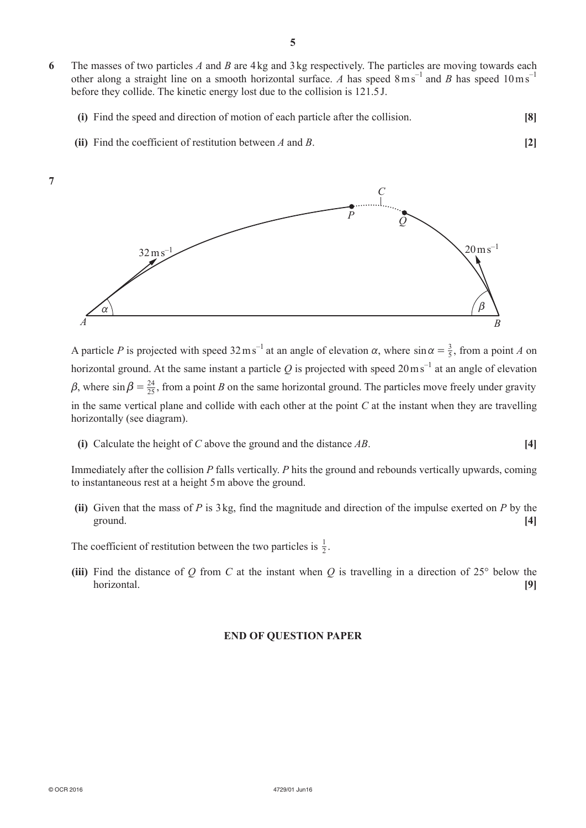- **6**  The masses of two particles *A* and *B* are 4 kg and 3kg respectively. The particles are moving towards each other along a straight line on a smooth horizontal surface. A has speed  $8 \text{ m s}^{-1}$  and B has speed  $10 \text{ m s}^{-1}$ before they collide. The kinetic energy lost due to the collision is 121.5J.
	- **(i)** Find the speed and direction of motion of each particle after the collision. **[8]**
	- **(ii)** Find the coefficient of restitution between *A* and *B*. **[2]**



A particle P is projected with speed  $32 \text{ m s}^{-1}$  at an angle of elevation  $\alpha$ , where  $\sin \alpha = \frac{3}{5}$ , from a point A on horizontal ground. At the same instant a particle  $Q$  is projected with speed  $20 \text{ m s}^{-1}$  at an angle of elevation  $\beta$ , where sin  $\beta = \frac{24}{25}$ , from a point *B* on the same horizontal ground. The particles move freely under gravity in the same vertical plane and collide with each other at the point *C* at the instant when they are travelling horizontally (see diagram).

**(i)** Calculate the height of *C* above the ground and the distance *AB*.  $[4]$ 

Immediately after the collision *P* falls vertically. *P* hits the ground and rebounds vertically upwards, coming to instantaneous rest at a height 5m above the ground.

**(ii)** Given that the mass of *P* is 3kg, find the magnitude and direction of the impulse exerted on *P* by the ground. **[4]**

The coefficient of restitution between the two particles is  $\frac{1}{2}$ .

**(iii)** Find the distance of *Q* from *C* at the instant when *Q* is travelling in a direction of  $25^{\circ}$  below the horizontal. **[9]**

#### **END OF QUESTION PAPER**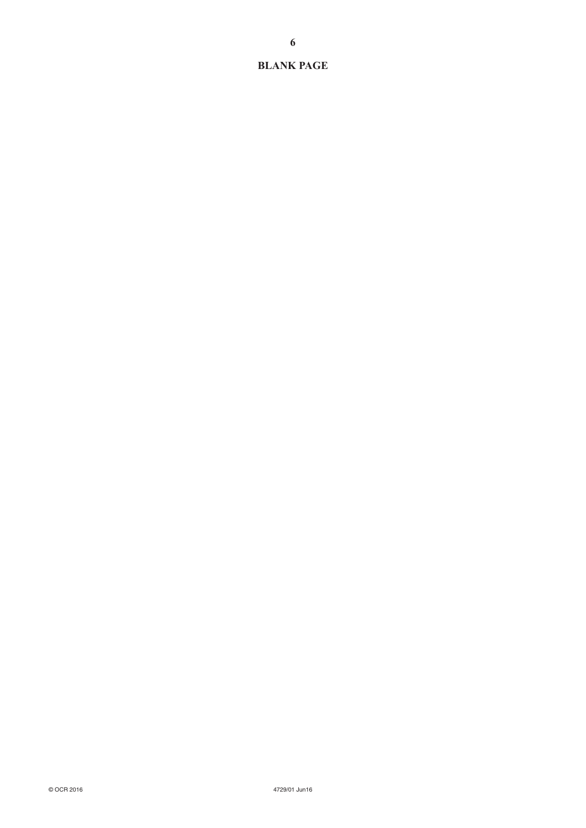### **BLANK PAGE**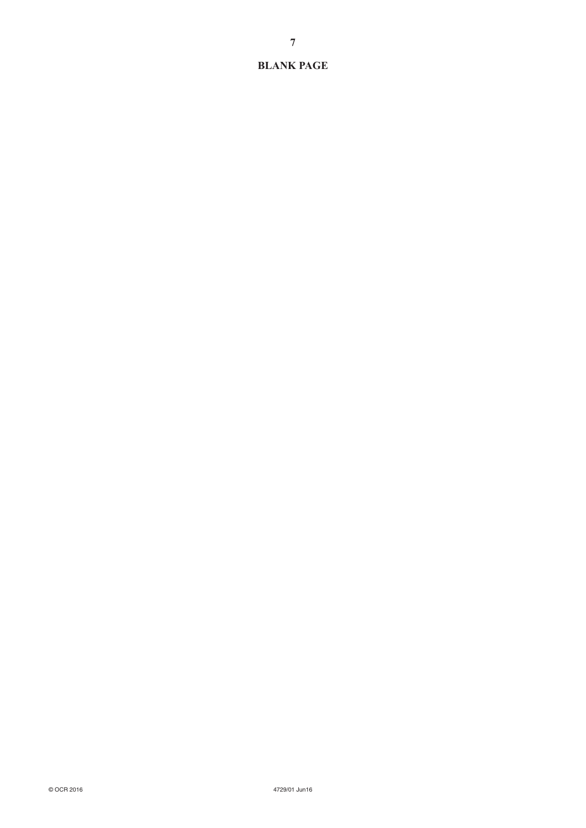### **BLANK PAGE**